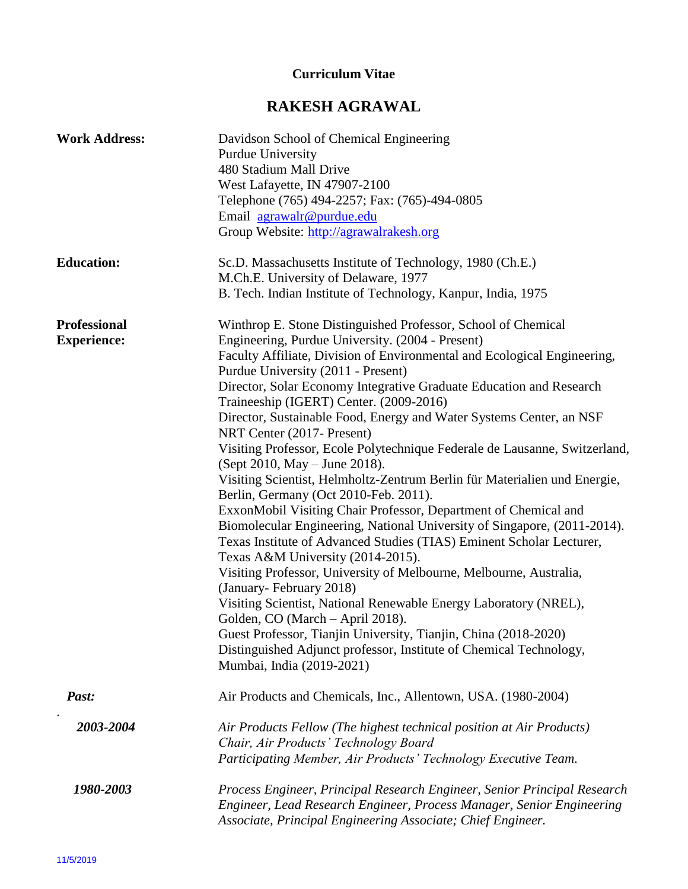## **Curriculum Vitae**

# **RAKESH AGRAWAL**

| <b>Work Address:</b>               | Davidson School of Chemical Engineering<br><b>Purdue University</b><br>480 Stadium Mall Drive<br>West Lafayette, IN 47907-2100<br>Telephone (765) 494-2257; Fax: (765)-494-0805<br>Email agrawalr@purdue.edu<br>Group Website: http://agrawalrakesh.org                                                                                                                                                                                                                                                                                                                                                                                                                                                                                                                                                                                                                                                                                                                                                                                                                                                                                                                                                                                                                                                                                    |
|------------------------------------|--------------------------------------------------------------------------------------------------------------------------------------------------------------------------------------------------------------------------------------------------------------------------------------------------------------------------------------------------------------------------------------------------------------------------------------------------------------------------------------------------------------------------------------------------------------------------------------------------------------------------------------------------------------------------------------------------------------------------------------------------------------------------------------------------------------------------------------------------------------------------------------------------------------------------------------------------------------------------------------------------------------------------------------------------------------------------------------------------------------------------------------------------------------------------------------------------------------------------------------------------------------------------------------------------------------------------------------------|
| <b>Education:</b>                  | Sc.D. Massachusetts Institute of Technology, 1980 (Ch.E.)<br>M.Ch.E. University of Delaware, 1977<br>B. Tech. Indian Institute of Technology, Kanpur, India, 1975                                                                                                                                                                                                                                                                                                                                                                                                                                                                                                                                                                                                                                                                                                                                                                                                                                                                                                                                                                                                                                                                                                                                                                          |
| Professional<br><b>Experience:</b> | Winthrop E. Stone Distinguished Professor, School of Chemical<br>Engineering, Purdue University. (2004 - Present)<br>Faculty Affiliate, Division of Environmental and Ecological Engineering,<br>Purdue University (2011 - Present)<br>Director, Solar Economy Integrative Graduate Education and Research<br>Traineeship (IGERT) Center. (2009-2016)<br>Director, Sustainable Food, Energy and Water Systems Center, an NSF<br>NRT Center (2017- Present)<br>Visiting Professor, Ecole Polytechnique Federale de Lausanne, Switzerland,<br>(Sept 2010, May – June 2018).<br>Visiting Scientist, Helmholtz-Zentrum Berlin für Materialien und Energie,<br>Berlin, Germany (Oct 2010-Feb. 2011).<br>ExxonMobil Visiting Chair Professor, Department of Chemical and<br>Biomolecular Engineering, National University of Singapore, (2011-2014).<br>Texas Institute of Advanced Studies (TIAS) Eminent Scholar Lecturer,<br>Texas A&M University (2014-2015).<br>Visiting Professor, University of Melbourne, Melbourne, Australia,<br>(January-February 2018)<br>Visiting Scientist, National Renewable Energy Laboratory (NREL),<br>Golden, CO (March – April 2018).<br>Guest Professor, Tianjin University, Tianjin, China (2018-2020)<br>Distinguished Adjunct professor, Institute of Chemical Technology,<br>Mumbai, India (2019-2021) |
| Past:                              | Air Products and Chemicals, Inc., Allentown, USA. (1980-2004)                                                                                                                                                                                                                                                                                                                                                                                                                                                                                                                                                                                                                                                                                                                                                                                                                                                                                                                                                                                                                                                                                                                                                                                                                                                                              |
| 2003-2004                          | Air Products Fellow (The highest technical position at Air Products)<br>Chair, Air Products' Technology Board<br>Participating Member, Air Products' Technology Executive Team.                                                                                                                                                                                                                                                                                                                                                                                                                                                                                                                                                                                                                                                                                                                                                                                                                                                                                                                                                                                                                                                                                                                                                            |
| 1980-2003                          | Process Engineer, Principal Research Engineer, Senior Principal Research<br>Engineer, Lead Research Engineer, Process Manager, Senior Engineering<br>Associate, Principal Engineering Associate; Chief Engineer.                                                                                                                                                                                                                                                                                                                                                                                                                                                                                                                                                                                                                                                                                                                                                                                                                                                                                                                                                                                                                                                                                                                           |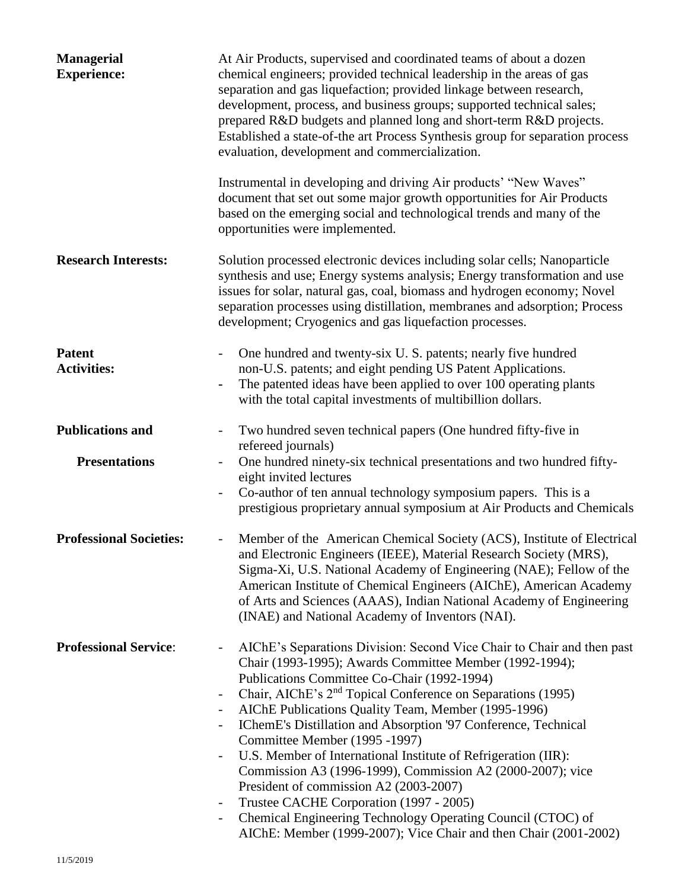| <b>Managerial</b><br><b>Experience:</b> | At Air Products, supervised and coordinated teams of about a dozen<br>chemical engineers; provided technical leadership in the areas of gas<br>separation and gas liquefaction; provided linkage between research,<br>development, process, and business groups; supported technical sales;<br>prepared R&D budgets and planned long and short-term R&D projects.<br>Established a state-of-the art Process Synthesis group for separation process<br>evaluation, development and commercialization.                                                                                                                                                                                                                                                                                                                                                                                                                                                                                   |
|-----------------------------------------|----------------------------------------------------------------------------------------------------------------------------------------------------------------------------------------------------------------------------------------------------------------------------------------------------------------------------------------------------------------------------------------------------------------------------------------------------------------------------------------------------------------------------------------------------------------------------------------------------------------------------------------------------------------------------------------------------------------------------------------------------------------------------------------------------------------------------------------------------------------------------------------------------------------------------------------------------------------------------------------|
|                                         | Instrumental in developing and driving Air products' "New Waves"<br>document that set out some major growth opportunities for Air Products<br>based on the emerging social and technological trends and many of the<br>opportunities were implemented.                                                                                                                                                                                                                                                                                                                                                                                                                                                                                                                                                                                                                                                                                                                                 |
| <b>Research Interests:</b>              | Solution processed electronic devices including solar cells; Nanoparticle<br>synthesis and use; Energy systems analysis; Energy transformation and use<br>issues for solar, natural gas, coal, biomass and hydrogen economy; Novel<br>separation processes using distillation, membranes and adsorption; Process<br>development; Cryogenics and gas liquefaction processes.                                                                                                                                                                                                                                                                                                                                                                                                                                                                                                                                                                                                            |
| <b>Patent</b><br><b>Activities:</b>     | One hundred and twenty-six U.S. patents; nearly five hundred<br>non-U.S. patents; and eight pending US Patent Applications.<br>The patented ideas have been applied to over 100 operating plants<br>with the total capital investments of multibillion dollars.                                                                                                                                                                                                                                                                                                                                                                                                                                                                                                                                                                                                                                                                                                                        |
| <b>Publications and</b>                 | Two hundred seven technical papers (One hundred fifty-five in<br>refereed journals)                                                                                                                                                                                                                                                                                                                                                                                                                                                                                                                                                                                                                                                                                                                                                                                                                                                                                                    |
| <b>Presentations</b>                    | One hundred ninety-six technical presentations and two hundred fifty-<br>eight invited lectures<br>Co-author of ten annual technology symposium papers. This is a<br>$\qquad \qquad -$<br>prestigious proprietary annual symposium at Air Products and Chemicals                                                                                                                                                                                                                                                                                                                                                                                                                                                                                                                                                                                                                                                                                                                       |
| <b>Professional Societies:</b>          | Member of the American Chemical Society (ACS), Institute of Electrical<br>and Electronic Engineers (IEEE), Material Research Society (MRS),<br>Sigma-Xi, U.S. National Academy of Engineering (NAE); Fellow of the<br>American Institute of Chemical Engineers (AIChE), American Academy<br>of Arts and Sciences (AAAS), Indian National Academy of Engineering<br>(INAE) and National Academy of Inventors (NAI).                                                                                                                                                                                                                                                                                                                                                                                                                                                                                                                                                                     |
| <b>Professional Service:</b>            | AIChE's Separations Division: Second Vice Chair to Chair and then past<br>$\qquad \qquad -$<br>Chair (1993-1995); Awards Committee Member (1992-1994);<br>Publications Committee Co-Chair (1992-1994)<br>Chair, AIChE's 2 <sup>nd</sup> Topical Conference on Separations (1995)<br>$\overline{\phantom{a}}$<br>AIChE Publications Quality Team, Member (1995-1996)<br>$\qquad \qquad \blacksquare$<br>IChemE's Distillation and Absorption '97 Conference, Technical<br>$\qquad \qquad \blacksquare$<br>Committee Member (1995 -1997)<br>U.S. Member of International Institute of Refrigeration (IIR):<br>$\qquad \qquad \blacksquare$<br>Commission A3 (1996-1999), Commission A2 (2000-2007); vice<br>President of commission A2 (2003-2007)<br>Trustee CACHE Corporation (1997 - 2005)<br>$\overline{\phantom{a}}$<br>Chemical Engineering Technology Operating Council (CTOC) of<br>$\overline{\phantom{a}}$<br>AIChE: Member (1999-2007); Vice Chair and then Chair (2001-2002) |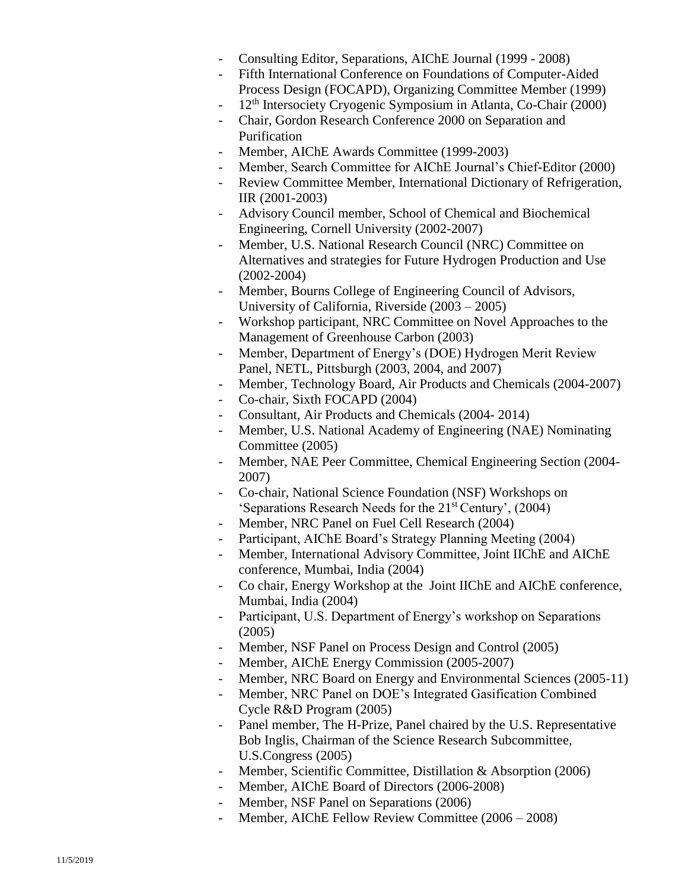- Consulting Editor, Separations, AIChE Journal (1999 2008)
- Fifth International Conference on Foundations of Computer-Aided Process Design (FOCAPD), Organizing Committee Member (1999)
- $12<sup>th</sup>$  Intersociety Cryogenic Symposium in Atlanta, Co-Chair (2000)
- Chair, Gordon Research Conference 2000 on Separation and Purification
- Member, AIChE Awards Committee (1999-2003)
- Member, Search Committee for AIChE Journal's Chief-Editor (2000)
- Review Committee Member, International Dictionary of Refrigeration, IIR (2001-2003)
- Advisory Council member, School of Chemical and Biochemical Engineering, Cornell University (2002-2007)
- Member, U.S. National Research Council (NRC) Committee on Alternatives and strategies for Future Hydrogen Production and Use (2002-2004)
- Member, Bourns College of Engineering Council of Advisors, University of California, Riverside (2003 – 2005)
- Workshop participant, NRC Committee on Novel Approaches to the Management of Greenhouse Carbon (2003)
- Member, Department of Energy's (DOE) Hydrogen Merit Review Panel, NETL, Pittsburgh (2003, 2004, and 2007)
- Member, Technology Board, Air Products and Chemicals (2004-2007)
- Co-chair, Sixth FOCAPD (2004)
- Consultant, Air Products and Chemicals (2004- 2014)
- Member, U.S. National Academy of Engineering (NAE) Nominating Committee (2005)
- Member, NAE Peer Committee, Chemical Engineering Section (2004- 2007)
- Co-chair, National Science Foundation (NSF) Workshops on 'Separations Research Needs for the 21st Century', (2004)
- Member, NRC Panel on Fuel Cell Research (2004)
- Participant, AIChE Board's Strategy Planning Meeting (2004)
- Member, International Advisory Committee, Joint IIChE and AIChE conference, Mumbai, India (2004)
- Co chair, Energy Workshop at the Joint IIChE and AIChE conference, Mumbai, India (2004)
- Participant, U.S. Department of Energy's workshop on Separations (2005)
- Member, NSF Panel on Process Design and Control (2005)
- Member, AIChE Energy Commission (2005-2007)
- Member, NRC Board on Energy and Environmental Sciences (2005-11)
- Member, NRC Panel on DOE's Integrated Gasification Combined Cycle R&D Program (2005)
- Panel member, The H-Prize, Panel chaired by the U.S. Representative Bob Inglis, Chairman of the Science Research Subcommittee, U.S.Congress (2005)
- Member, Scientific Committee, Distillation & Absorption (2006)
- Member, AIChE Board of Directors (2006-2008)
- Member, NSF Panel on Separations (2006)
- Member, AIChE Fellow Review Committee (2006 2008)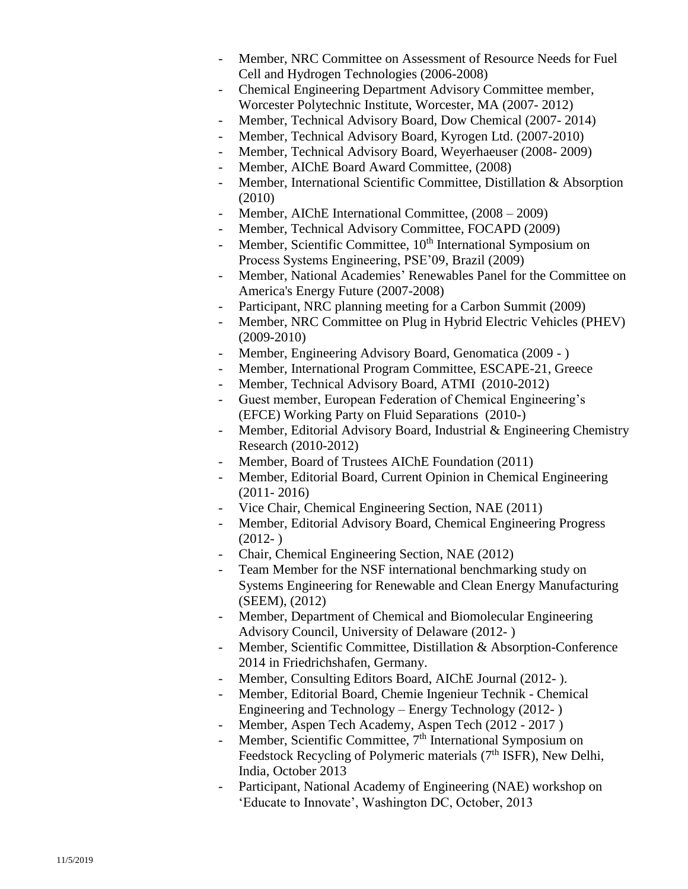- Member, NRC Committee on Assessment of Resource Needs for Fuel Cell and Hydrogen Technologies (2006-2008)
- Chemical Engineering Department Advisory Committee member, Worcester Polytechnic Institute, Worcester, MA (2007- 2012)
- Member, Technical Advisory Board, Dow Chemical (2007- 2014)
- Member, Technical Advisory Board, Kyrogen Ltd. (2007-2010)
- Member, Technical Advisory Board, Weyerhaeuser (2008- 2009)
- Member, AIChE Board Award Committee, (2008)
- Member, International Scientific Committee, Distillation & Absorption (2010)
- Member, AIChE International Committee,  $(2008 2009)$
- Member, Technical Advisory Committee, FOCAPD (2009)
- Member, Scientific Committee, 10<sup>th</sup> International Symposium on Process Systems Engineering, PSE'09, Brazil (2009)
- Member, National Academies' Renewables Panel for the Committee on America's Energy Future (2007-2008)
- Participant, NRC planning meeting for a Carbon Summit (2009)
- Member, NRC Committee on Plug in Hybrid Electric Vehicles (PHEV) (2009-2010)
- Member, Engineering Advisory Board, Genomatica (2009 )
- Member, International Program Committee, ESCAPE-21, Greece
- Member, Technical Advisory Board, ATMI (2010-2012)
- Guest member, European Federation of Chemical Engineering's (EFCE) Working Party on Fluid Separations (2010-)
- Member, Editorial Advisory Board, Industrial & Engineering Chemistry Research (2010-2012)
- Member, Board of Trustees AIChE Foundation (2011)
- Member, Editorial Board, Current Opinion in Chemical Engineering (2011- 2016)
- Vice Chair, Chemical Engineering Section, NAE (2011)
- Member, Editorial Advisory Board, Chemical Engineering Progress  $(2012-)$
- Chair, Chemical Engineering Section, NAE (2012)
- Team Member for the NSF international benchmarking study on Systems Engineering for Renewable and Clean Energy Manufacturing (SEEM), (2012)
- Member, Department of Chemical and Biomolecular Engineering Advisory Council, University of Delaware (2012- )
- Member, Scientific Committee, Distillation & Absorption-Conference 2014 in Friedrichshafen, Germany.
- Member, Consulting Editors Board, AIChE Journal (2012-).
- Member, Editorial Board, Chemie Ingenieur Technik Chemical Engineering and Technology – Energy Technology (2012- )
- Member, Aspen Tech Academy, Aspen Tech (2012 2017)
- Member, Scientific Committee, 7<sup>th</sup> International Symposium on Feedstock Recycling of Polymeric materials (7<sup>th</sup> ISFR), New Delhi, India, October 2013
- Participant, National Academy of Engineering (NAE) workshop on 'Educate to Innovate', Washington DC, October, 2013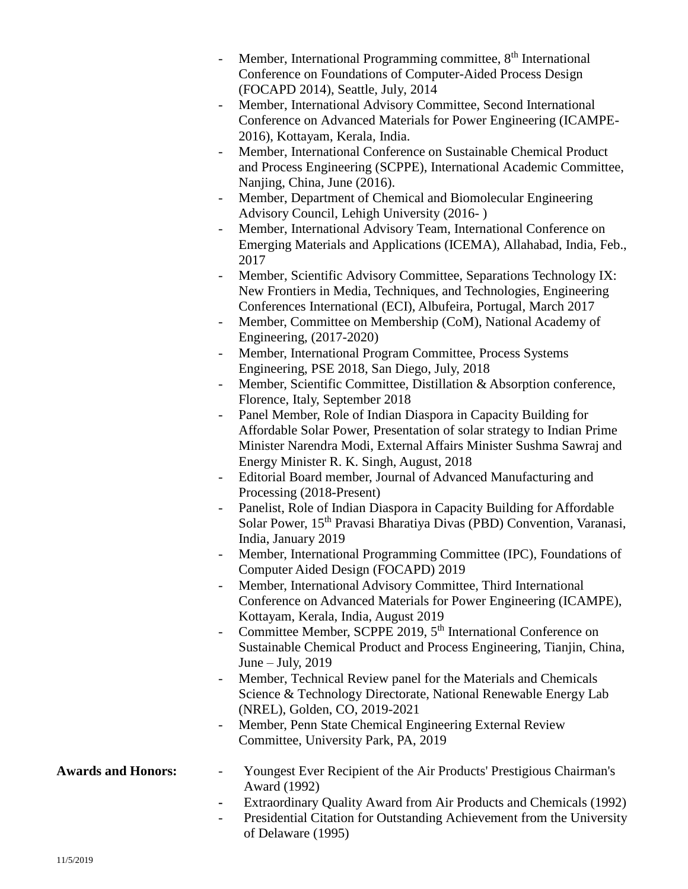- Member, International Programming committee,  $8<sup>th</sup>$  International Conference on Foundations of Computer-Aided Process Design (FOCAPD 2014), Seattle, July, 2014
- Member, International Advisory Committee, Second International Conference on Advanced Materials for Power Engineering (ICAMPE-2016), Kottayam, Kerala, India.
- Member, International Conference on Sustainable Chemical Product and Process Engineering (SCPPE), International Academic Committee, Nanjing, China, June (2016).
- Member, Department of Chemical and Biomolecular Engineering Advisory Council, Lehigh University (2016- )
- Member, International Advisory Team, International Conference on Emerging Materials and Applications (ICEMA), Allahabad, India, Feb., 2017
- Member, Scientific Advisory Committee, Separations Technology IX: New Frontiers in Media, Techniques, and Technologies, Engineering Conferences International (ECI), Albufeira, Portugal, March 2017
- Member, Committee on Membership (CoM), National Academy of Engineering, (2017-2020)
- Member, International Program Committee, Process Systems Engineering, PSE 2018, San Diego, July, 2018
- Member, Scientific Committee, Distillation & Absorption conference, Florence, Italy, September 2018
- Panel Member, Role of Indian Diaspora in Capacity Building for Affordable Solar Power, Presentation of solar strategy to Indian Prime Minister Narendra Modi, External Affairs Minister Sushma Sawraj and Energy Minister R. K. Singh, August, 2018
- Editorial Board member, Journal of Advanced Manufacturing and Processing (2018-Present)
- Panelist, Role of Indian Diaspora in Capacity Building for Affordable Solar Power, 15th Pravasi Bharatiya Divas (PBD) Convention, Varanasi, India, January 2019
- Member, International Programming Committee (IPC), Foundations of Computer Aided Design (FOCAPD) 2019
- Member, International Advisory Committee, Third International Conference on Advanced Materials for Power Engineering (ICAMPE), Kottayam, Kerala, India, August 2019
- Committee Member, SCPPE 2019, 5<sup>th</sup> International Conference on Sustainable Chemical Product and Process Engineering, Tianjin, China, June – July,  $2019$
- Member, Technical Review panel for the Materials and Chemicals Science & Technology Directorate, National Renewable Energy Lab (NREL), Golden, CO, 2019-2021
- Member, Penn State Chemical Engineering External Review Committee, University Park, PA, 2019

#### **Awards and Honors:** - Youngest Ever Recipient of the Air Products' Prestigious Chairman's Award (1992)

- **-** Extraordinary Quality Award from Air Products and Chemicals (1992)
- Presidential Citation for Outstanding Achievement from the University of Delaware (1995)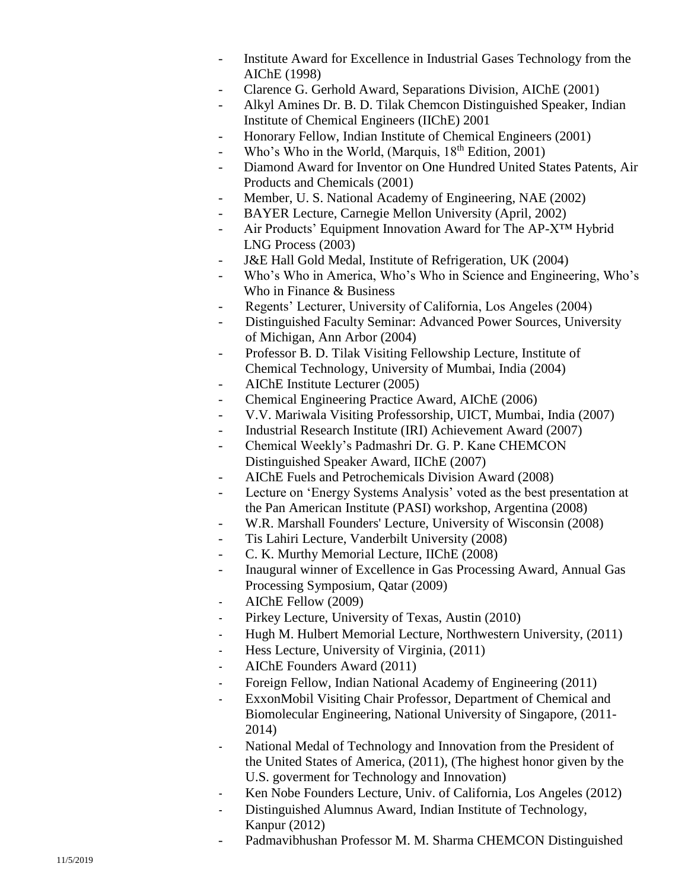- Institute Award for Excellence in Industrial Gases Technology from the AIChE (1998)
- Clarence G. Gerhold Award, Separations Division, AIChE (2001)
- Alkyl Amines Dr. B. D. Tilak Chemcon Distinguished Speaker, Indian Institute of Chemical Engineers (IIChE) 2001
- Honorary Fellow, Indian Institute of Chemical Engineers (2001)
- Who's Who in the World, (Marquis,  $18^{th}$  Edition, 2001)
- Diamond Award for Inventor on One Hundred United States Patents, Air Products and Chemicals (2001)
- Member, U. S. National Academy of Engineering, NAE (2002)
- BAYER Lecture, Carnegie Mellon University (April, 2002)
- Air Products' Equipment Innovation Award for The AP-X™ Hybrid LNG Process (2003)
- J&E Hall Gold Medal, Institute of Refrigeration, UK (2004)
- Who's Who in America, Who's Who in Science and Engineering, Who's Who in Finance & Business
- Regents' Lecturer, University of California, Los Angeles (2004)
- Distinguished Faculty Seminar: Advanced Power Sources, University of Michigan, Ann Arbor (2004)
- Professor B. D. Tilak Visiting Fellowship Lecture, Institute of Chemical Technology, University of Mumbai, India (2004)
- AIChE Institute Lecture r (2005)
- Chemical Engineering Practice Award, AIChE (2006)
- V.V. Mariwala Visiting Professorship, UICT, Mumbai, India (2007)
- Industrial Research Institute (IRI) Achievement Award (2007)
- Chemical Weekly's Padmashri Dr. G. P. Kane CHEMCON Distinguished Speaker Award, IIChE (2007 )
- AIChE Fuels and Petrochemicals Division Award (2008)
- Lecture on 'Energy Systems Analysis' voted as the best presentation at the Pan American Institute (PASI) workshop, Argentina (2008)
- W.R. Marshall Founders' Lecture, University of Wisconsin (2008)
- Tis Lahiri Lecture, Vanderbilt University (2008)
- C. K. Murthy Memorial Lecture, IIChE (2008)
- Inaugural winner of Excellence in Gas Processing Award, Annual Gas Processing Symposium, Qatar (2009 )
- AIChE Fellow (2009)
- Pirkey Lecture, University of Texas, Austin (2010)
- Hugh M. Hulbert Memorial Lecture, Northwestern University, (2011)
- Hess Lecture, University of Virginia, (2011)
- AIChE Founders Award (2011)
- Foreign Fellow, Indian National Academy of Engineering (2011)
- ExxonMobil Visiting Chair Professor, Department of Chemical and Biomolecular Engineering, National University of Singapore, (2011 - 2014 )
- National Medal of Technology and Innovation from the President of the United States of America, (2011), (The highest honor given by the U.S. goverment for Technology and Innovation)
- Ken Nobe Founders Lecture, Univ. of California, Los Angeles (2012)
- Distinguished Alumnus Award, Indian Institute of Technology, Kanpur (2012)
- Padmavibhushan Professor M. M. Sharma CHEMCON Distinguished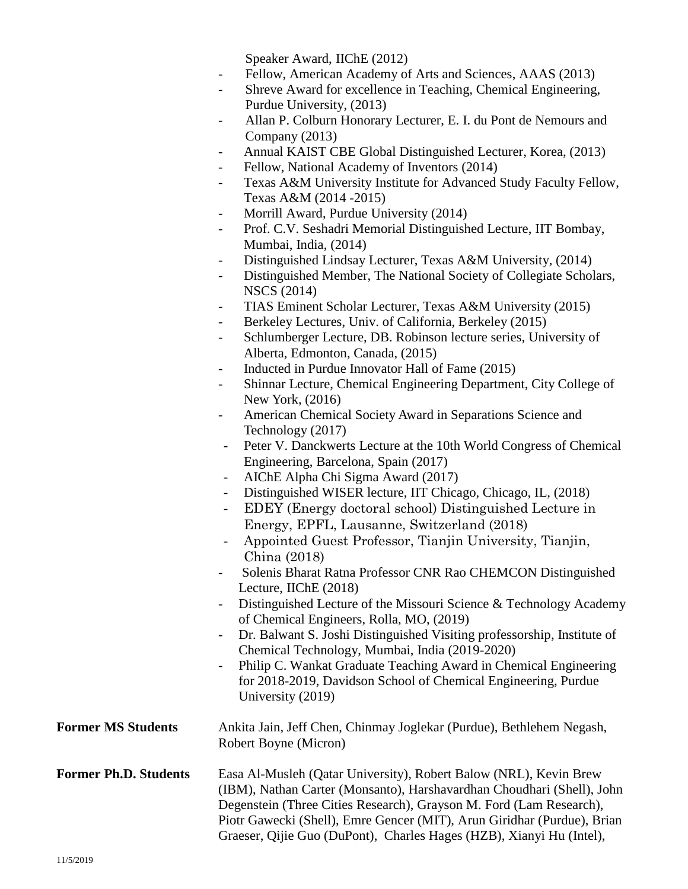Speaker Award, IIChE (2012)

- Fellow, American Academy of Arts and Sciences, AAAS (2013)
- Shreve Award for excellence in Teaching, Chemical Engineering, Purdue University, (2013)
- Allan P. Colburn Honorary Lecturer, E. I. du Pont de Nemours and Company (2013)
- Annual KAIST CBE Global Distinguished Lecturer, Korea, (2013)
- Fellow, National Academy of Inventors (2014)
- Texas A&M University Institute for Advanced Study Faculty Fellow, Texas A&M (2014 -2015)
- Morrill Award, Purdue University (2014)
- Prof. C.V. Seshadri Memorial Distinguished Lecture, IIT Bombay, Mumbai, India, (2014)
- Distinguished Lindsay Lecturer, Texas A&M University, (2014)
- Distinguished Member, The National Society of Collegiate Scholars, NSCS (2014)
- TIAS Eminent Scholar Lecturer, Texas A&M University (2015)
- Berkeley Lectures, Univ. of California, Berkeley (2015)
- Schlumberger Lecture, DB. Robinson lecture series, University of Alberta, Edmonton, Canada, (2015)
- Inducted in Purdue Innovator Hall of Fame (2015)
- Shinnar Lecture, Chemical Engineering Department, City College of New York, (2016)
- American Chemical Society Award in Separations Science and Technology (2017)
- Peter V. Danckwerts Lecture at the 10th World Congress of Chemical Engineering, Barcelona, Spain (2017)
- AIChE Alpha Chi Sigma Award (2017)
- Distinguished WISER lecture, IIT Chicago, Chicago, IL, (2018)
- EDEY (Energy doctoral school) Distinguished Lecture in Energy, EPFL, Lausanne, Switzerland (2018)
- Appointed Guest Professor, Tianjin University, Tianjin, China (2018)
- Solenis Bharat Ratna Professor CNR Rao CHEMCON Distinguished Lecture, IIChE (2018)
- Distinguished Lecture of the Missouri Science & Technology Academy of Chemical Engineers, Rolla, MO, (2019)
- Dr. Balwant S. Joshi Distinguished Visiting professorship, Institute of Chemical Technology, Mumbai, India (2019-2020)
- Philip C. Wankat Graduate Teaching Award in Chemical Engineering for 2018-2019, Davidson School of Chemical Engineering, Purdue University (2019)

## **Former MS Students** Ankita Jain, Jeff Chen, Chinmay Joglekar (Purdue), Bethlehem Negash, Robert Boyne (Micron)

### **Former Ph.D. Students** Easa Al-Musleh (Qatar University), Robert Balow (NRL), Kevin Brew (IBM), Nathan Carter (Monsanto), Harshavardhan Choudhari (Shell), John Degenstein (Three Cities Research), Grayson M. Ford (Lam Research), Piotr Gawecki (Shell), Emre Gencer (MIT), Arun Giridhar (Purdue), Brian Graeser, Qijie Guo (DuPont), Charles Hages (HZB), Xianyi Hu (Intel),